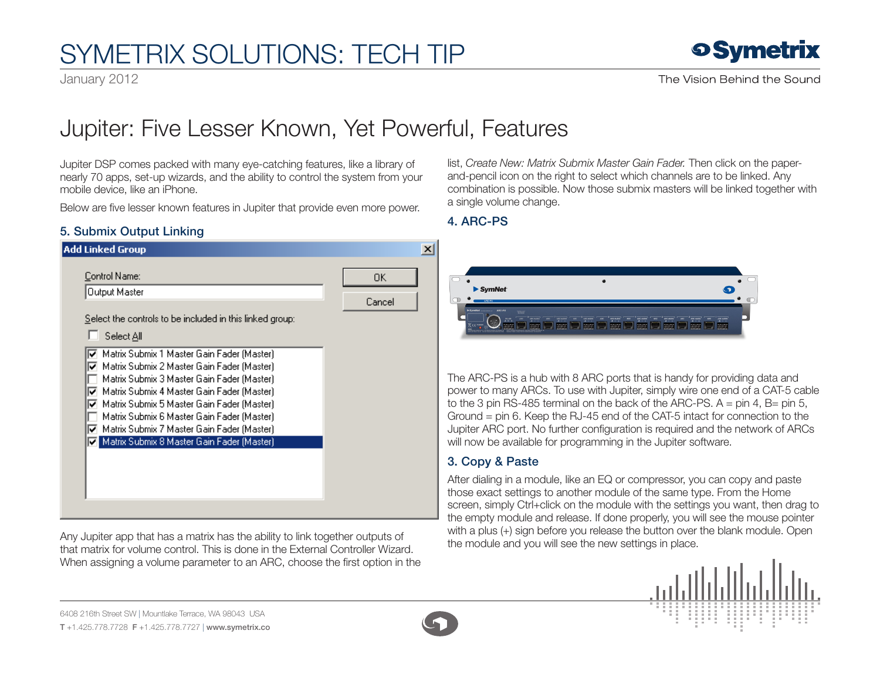# SymETRIX Solutions: Tech Tip

January 2012



## Jupiter: Five Lesser Known, Yet Powerful, Features

Jupiter DSP comes packed with many eye-catching features, like a library of nearly 70 apps, set-up wizards, and the ability to control the system from your mobile device, like an iPhone.

Below are five lesser known features in Jupiter that provide even more power.

#### 5. Submix Output Linking

| <b>Add Linked Group</b>                                                                            | $\vert x \vert$ |                  |
|----------------------------------------------------------------------------------------------------|-----------------|------------------|
| Control Name:<br>Output Master                                                                     | 0K<br>Cancel    |                  |
| Select the controls to be included in this linked group:                                           |                 |                  |
| Select All                                                                                         |                 |                  |
| Matrix Submix 1 Master Gain Fader (Master)<br>Matrix Submix 2 Master Gain Fader (Master)<br>⊽      |                 |                  |
| Matrix Submix 3 Master Gain Fader (Master).                                                        |                 | The Al           |
| Matrix Submix 4 Master Gain Fader (Master)<br>⊽<br>Matrix Submix 5 Master Gain Fader (Master)<br>⊽ |                 | power<br>to the  |
| Matrix Submix 6 Master Gain Fader (Master)                                                         |                 | Groun            |
| ☑ Matrix Submix 7 Master Gain Fader (Master)                                                       |                 | Jupite           |
| Matrix Submix 8 Master Gain Fader (Master)                                                         |                 | will no          |
|                                                                                                    |                 | 3. Co            |
|                                                                                                    |                 | After c          |
|                                                                                                    |                 | those            |
|                                                                                                    |                 | screer<br>the en |

Any Jupiter app that has a matrix has the ability to link together outputs of that matrix for volume control. This is done in the External Controller Wizard. When assigning a volume parameter to an ARC, choose the first option in the

list, *Create New: Matrix Submix Master Gain Fader.* Then click on the paperand-pencil icon on the right to select which channels are to be linked. Any combination is possible. Now those submix masters will be linked together with a single volume change.

### 4. ARC-PS



RC-PS is a hub with 8 ARC ports that is handy for providing data and to many ARCs. To use with Jupiter, simply wire one end of a CAT-5 cable 3 pin RS-485 terminal on the back of the ARC-PS.  $A = \text{pin } 4$ , B= pin 5,  $nd = pin 6$ . Keep the RJ-45 end of the CAT-5 intact for connection to the In ARC port. No further configuration is required and the network of ARCs w be available for programming in the Jupiter software.

### **Dov & Paste**

dialing in a module, like an EQ or compressor, you can copy and paste exact settings to another module of the same type. From the Home n, simply Ctrl+click on the module with the settings you want, then drag to npty module and release. If done properly, you will see the mouse pointer with a plus (+) sign before you release the button over the blank module. Open the module and you will see the new settings in place.